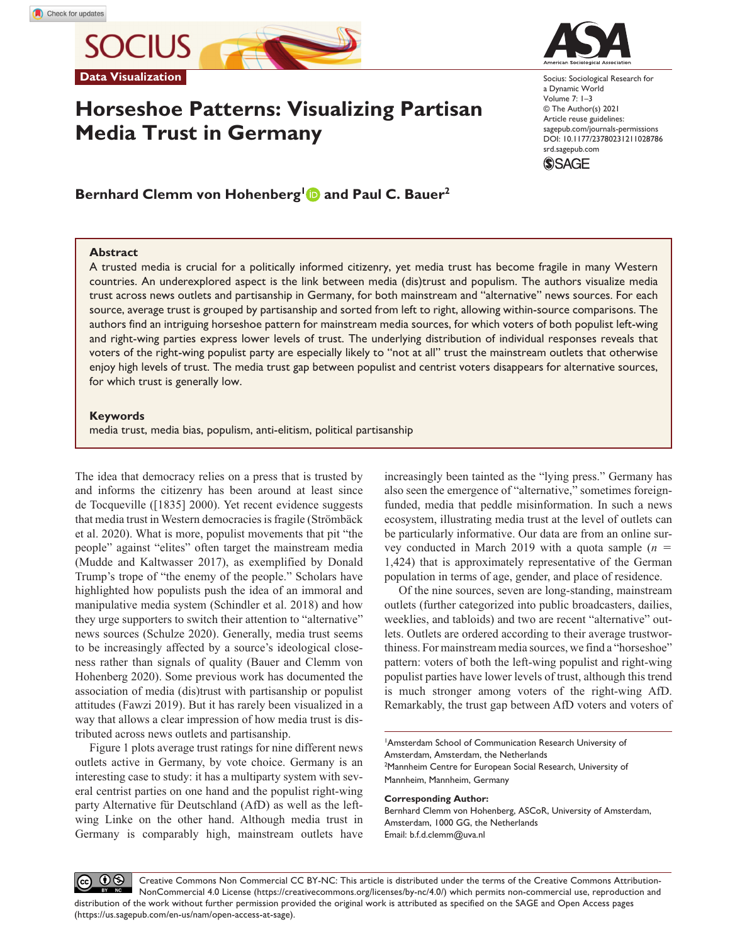

# **Horseshoe Patterns: Visualizing Partisan Media Trust in Germany**



Socius: Sociological Research for a Dynamic World Volume 7: 1–3 © The Author(s) 2021 Article reuse guidelines: [sagepub.com/journals-permissions](https://us.sagepub.com/en-us/journals-permissions) https://doi.org/10.1177/23780231211028786 DOI: 10.1177/23780231211028786 [srd.sagepub.com](https://srd.sagepub.com) **SSAGE** 

Bernhard Clemm von Hohenberg<sup>1</sup> and Paul C. Bauer<sup>2</sup>

# **Abstract**

A trusted media is crucial for a politically informed citizenry, yet media trust has become fragile in many Western countries. An underexplored aspect is the link between media (dis)trust and populism. The authors visualize media trust across news outlets and partisanship in Germany, for both mainstream and "alternative" news sources. For each source, average trust is grouped by partisanship and sorted from left to right, allowing within-source comparisons. The authors find an intriguing horseshoe pattern for mainstream media sources, for which voters of both populist left-wing and right-wing parties express lower levels of trust. The underlying distribution of individual responses reveals that voters of the right-wing populist party are especially likely to "not at all" trust the mainstream outlets that otherwise enjoy high levels of trust. The media trust gap between populist and centrist voters disappears for alternative sources, for which trust is generally low.

# **Keywords**

media trust, media bias, populism, anti-elitism, political partisanship

The idea that democracy relies on a press that is trusted by and informs the citizenry has been around at least since de Tocqueville ([1835] 2000). Yet recent evidence suggests that media trust in Western democracies is fragile (Strömbäck et al. 2020). What is more, populist movements that pit "the people" against "elites" often target the mainstream media (Mudde and Kaltwasser 2017), as exemplified by Donald Trump's trope of "the enemy of the people." Scholars have highlighted how populists push the idea of an immoral and manipulative media system (Schindler et al. 2018) and how they urge supporters to switch their attention to "alternative" news sources (Schulze 2020). Generally, media trust seems to be increasingly affected by a source's ideological closeness rather than signals of quality (Bauer and Clemm von Hohenberg 2020). Some previous work has documented the association of media (dis)trust with partisanship or populist attitudes (Fawzi 2019). But it has rarely been visualized in a way that allows a clear impression of how media trust is distributed across news outlets and partisanship.

Figure 1 plots average trust ratings for nine different news outlets active in Germany, by vote choice. Germany is an interesting case to study: it has a multiparty system with several centrist parties on one hand and the populist right-wing party Alternative für Deutschland (AfD) as well as the leftwing Linke on the other hand. Although media trust in Germany is comparably high, mainstream outlets have increasingly been tainted as the "lying press." Germany has also seen the emergence of "alternative," sometimes foreignfunded, media that peddle misinformation. In such a news ecosystem, illustrating media trust at the level of outlets can be particularly informative. Our data are from an online survey conducted in March 2019 with a quota sample  $(n =$ 1,424) that is approximately representative of the German population in terms of age, gender, and place of residence.

Of the nine sources, seven are long-standing, mainstream outlets (further categorized into public broadcasters, dailies, weeklies, and tabloids) and two are recent "alternative" outlets. Outlets are ordered according to their average trustworthiness. For mainstream media sources, we find a "horseshoe" pattern: voters of both the left-wing populist and right-wing populist parties have lower levels of trust, although this trend is much stronger among voters of the right-wing AfD. Remarkably, the trust gap between AfD voters and voters of

1 Amsterdam School of Communication Research University of Amsterdam, Amsterdam, the Netherlands <sup>2</sup>Mannheim Centre for European Social Research, University of Mannheim, Mannheim, Germany

#### **Corresponding Author:**

Bernhard Clemm von Hohenberg, ASCoR, University of Amsterdam, Amsterdam, 1000 GG, the Netherlands Email: [b.f.d.clemm@uva.nl](mailto:b.f.d.clemm@uva.nl)

 $0$ Creative Commons Non Commercial CC BY-NC: This article is distributed under the terms of the Creative Commons Attribution- $(cc)$ NonCommercial 4.0 License (https://creativecommons.org/licenses/by-nc/4.0/) which permits non-commercial use, reproduction and distribution of the work without further permission provided the original work is attributed as specified on the SAGE and Open Access pages (https://us.sagepub.com/en-us/nam/open-access-at-sage).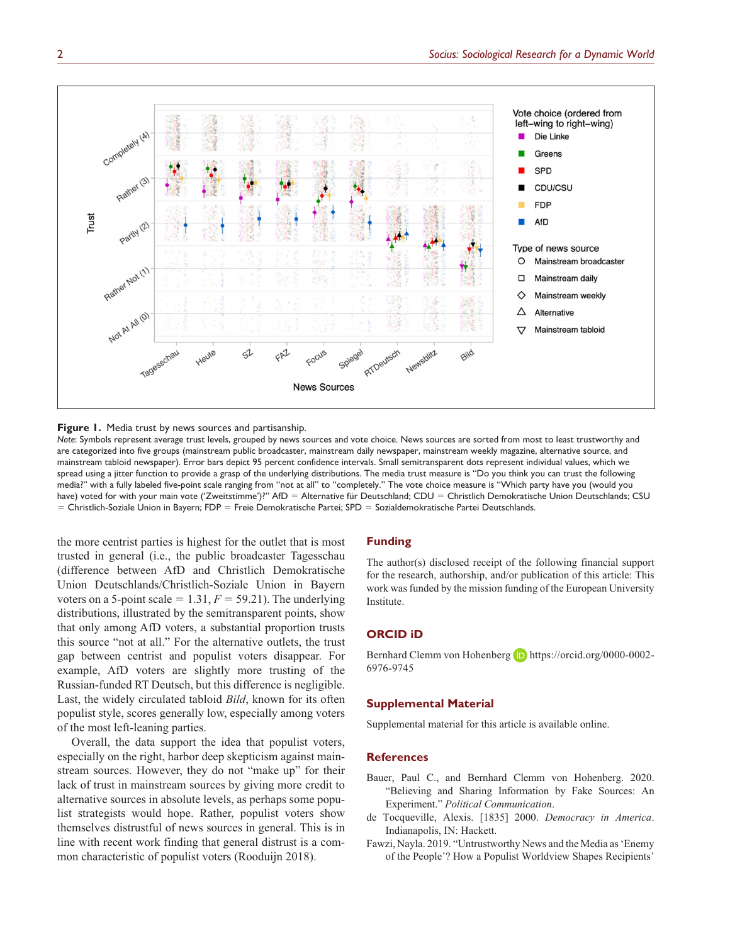



*Note*: Symbols represent average trust levels, grouped by news sources and vote choice. News sources are sorted from most to least trustworthy and are categorized into five groups (mainstream public broadcaster, mainstream daily newspaper, mainstream weekly magazine, alternative source, and mainstream tabloid newspaper). Error bars depict 95 percent confidence intervals. Small semitransparent dots represent individual values, which we spread using a jitter function to provide a grasp of the underlying distributions. The media trust measure is "Do you think you can trust the following media?" with a fully labeled five-point scale ranging from "not at all" to "completely." The vote choice measure is "Which party have you (would you have) voted for with your main vote ('Zweitstimme')?" AfD = Alternative für Deutschland; CDU = Christlich Demokratische Union Deutschlands; CSU = Christlich-Soziale Union in Bayern; FDP = Freie Demokratische Partei; SPD = Sozialdemokratische Partei Deutschlands.

the more centrist parties is highest for the outlet that is most trusted in general (i.e., the public broadcaster Tagesschau (difference between AfD and Christlich Demokratische Union Deutschlands/Christlich-Soziale Union in Bayern voters on a 5-point scale  $= 1.31, F = 59.21$ . The underlying distributions, illustrated by the semitransparent points, show that only among AfD voters, a substantial proportion trusts this source "not at all." For the alternative outlets, the trust gap between centrist and populist voters disappear. For example, AfD voters are slightly more trusting of the Russian-funded RT Deutsch, but this difference is negligible. Last, the widely circulated tabloid *Bild*, known for its often populist style, scores generally low, especially among voters of the most left-leaning parties.

Overall, the data support the idea that populist voters, especially on the right, harbor deep skepticism against mainstream sources. However, they do not "make up" for their lack of trust in mainstream sources by giving more credit to alternative sources in absolute levels, as perhaps some populist strategists would hope. Rather, populist voters show themselves distrustful of news sources in general. This is in line with recent work finding that general distrust is a common characteristic of populist voters (Rooduijn 2018).

## **Funding**

The author(s) disclosed receipt of the following financial support for the research, authorship, and/or publication of this article: This work was funded by the mission funding of the European University Institute.

## **ORCID iD**

Bernhard Clemm von Hohenberg (D) [https://orcid.org/0000-0002-](https://orcid.org/0000-0002-6976-9745) [6976-9745](https://orcid.org/0000-0002-6976-9745)

## **Supplemental Material**

Supplemental material for this article is available online.

#### **References**

- Bauer, Paul C., and Bernhard Clemm von Hohenberg. 2020. "Believing and Sharing Information by Fake Sources: An Experiment." *Political Communication*.
- de Tocqueville, Alexis. [1835] 2000. *Democracy in America*. Indianapolis, IN: Hackett.
- Fawzi, Nayla. 2019. "Untrustworthy News and the Media as 'Enemy of the People'? How a Populist Worldview Shapes Recipients'